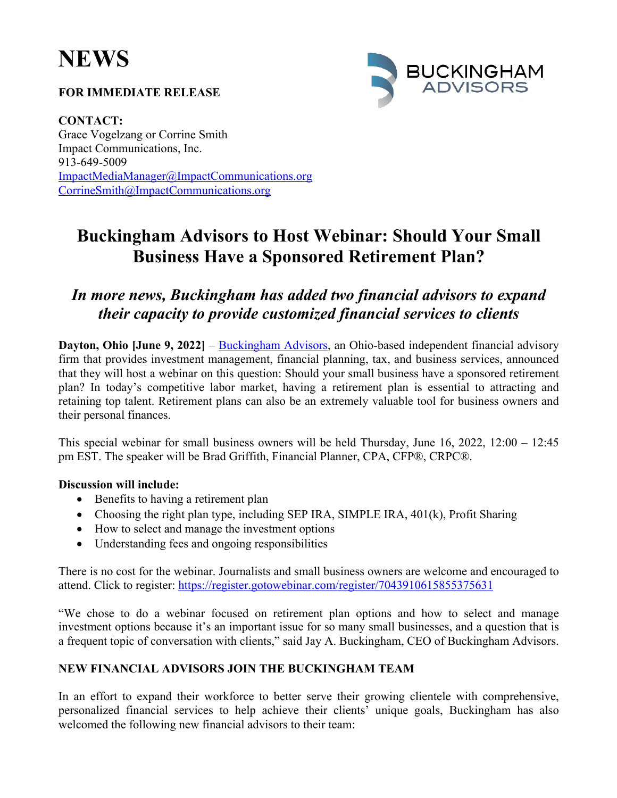# **NEWS**

#### **FOR IMMEDIATE RELEASE**



**CONTACT:** Grace Vogelzang or Corrine Smith Impact Communications, Inc. 913-649-5009 ImpactMediaManager@ImpactCommunications.org CorrineSmith@ImpactCommunications.org

## **Buckingham Advisors to Host Webinar: Should Your Small Business Have a Sponsored Retirement Plan?**

### *In more news, Buckingham has added two financial advisors to expand their capacity to provide customized financial services to clients*

**Dayton, Ohio [June 9, 2022]** – Buckingham Advisors, an Ohio-based independent financial advisory firm that provides investment management, financial planning, tax, and business services, announced that they will host a webinar on this question: Should your small business have a sponsored retirement plan? In today's competitive labor market, having a retirement plan is essential to attracting and retaining top talent. Retirement plans can also be an extremely valuable tool for business owners and their personal finances.

This special webinar for small business owners will be held Thursday, June 16, 2022, 12:00 – 12:45 pm EST. The speaker will be Brad Griffith, Financial Planner, CPA, CFP®, CRPC®.

#### **Discussion will include:**

- Benefits to having a retirement plan
- Choosing the right plan type, including SEP IRA, SIMPLE IRA, 401(k), Profit Sharing
- How to select and manage the investment options
- Understanding fees and ongoing responsibilities

There is no cost for the webinar. Journalists and small business owners are welcome and encouraged to attend. Click to register: https://register.gotowebinar.com/register/7043910615855375631

"We chose to do a webinar focused on retirement plan options and how to select and manage investment options because it's an important issue for so many small businesses, and a question that is a frequent topic of conversation with clients," said Jay A. Buckingham, CEO of Buckingham Advisors.

#### **NEW FINANCIAL ADVISORS JOIN THE BUCKINGHAM TEAM**

In an effort to expand their workforce to better serve their growing clientele with comprehensive, personalized financial services to help achieve their clients' unique goals, Buckingham has also welcomed the following new financial advisors to their team: